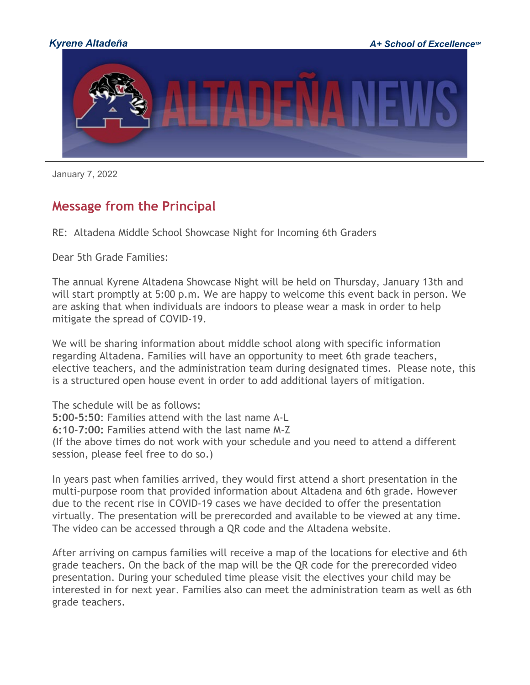

January 7, 2022

## **Message from the Principal**

RE: Altadena Middle School Showcase Night for Incoming 6th Graders

Dear 5th Grade Families:

The annual Kyrene Altadena Showcase Night will be held on Thursday, January 13th and will start promptly at 5:00 p.m. We are happy to welcome this event back in person. We are asking that when individuals are indoors to please wear a mask in order to help mitigate the spread of COVID-19.

We will be sharing information about middle school along with specific information regarding Altadena. Families will have an opportunity to meet 6th grade teachers, elective teachers, and the administration team during designated times. Please note, this is a structured open house event in order to add additional layers of mitigation.

The schedule will be as follows: **5:00-5:50**: Families attend with the last name A-L **6:10-7:00:** Families attend with the last name M-Z (If the above times do not work with your schedule and you need to attend a different session, please feel free to do so.)

In years past when families arrived, they would first attend a short presentation in the multi-purpose room that provided information about Altadena and 6th grade. However due to the recent rise in COVID-19 cases we have decided to offer the presentation virtually. The presentation will be prerecorded and available to be viewed at any time. The video can be accessed through a QR code and the Altadena website.

After arriving on campus families will receive a map of the locations for elective and 6th grade teachers. On the back of the map will be the QR code for the prerecorded video presentation. During your scheduled time please visit the electives your child may be interested in for next year. Families also can meet the administration team as well as 6th grade teachers.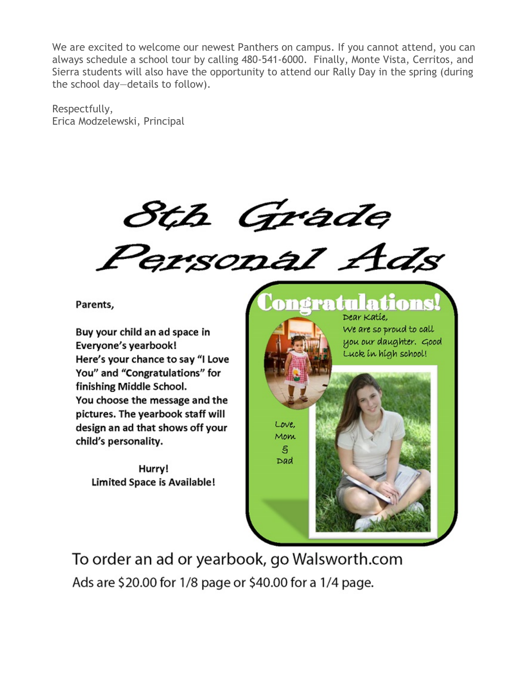We are excited to welcome our newest Panthers on campus. If you cannot attend, you can always schedule a school tour by calling 480-541-6000. Finally, Monte Vista, Cerritos, and Sierra students will also have the opportunity to attend our Rally Day in the spring (during the school day—details to follow).

Respectfully, Erica Modzelewski, Principal

Sth Grade<br>Personal Ads

Parents,

Buy your child an ad space in Everyone's yearbook! Here's your chance to say "I Love You" and "Congratulations" for finishing Middle School. You choose the message and the pictures. The yearbook staff will design an ad that shows off your child's personality.

Hurry! Limited Space is Available! ongratulations Dear Katie, We are so proud to call you our daughter. Good Luck in high school! Love, Mom S. Dad

To order an ad or yearbook, go Walsworth.com Ads are \$20.00 for 1/8 page or \$40.00 for a 1/4 page.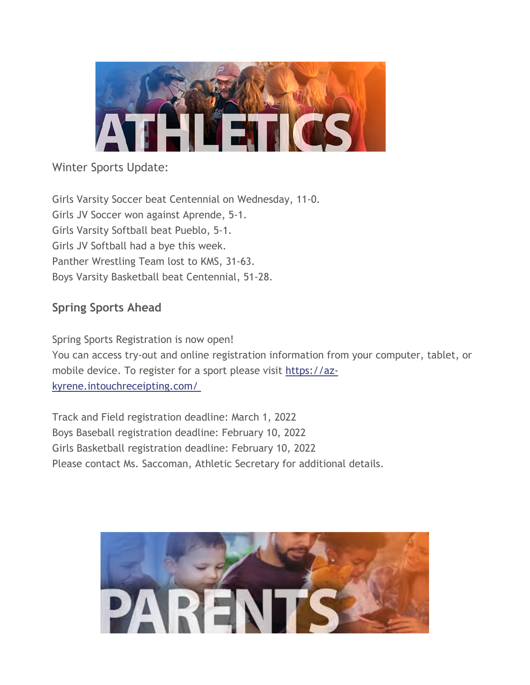

## Winter Sports Update:

Girls Varsity Soccer beat Centennial on Wednesday, 11-0. Girls JV Soccer won against Aprende, 5-1. Girls Varsity Softball beat Pueblo, 5-1. Girls JV Softball had a bye this week. Panther Wrestling Team lost to KMS, 31-63. Boys Varsity Basketball beat Centennial, 51-28.

## **Spring Sports Ahead**

Spring Sports Registration is now open! You can access try-out and online registration information from your computer, tablet, or mobile device. To register for a sport please visit [https://az](http://track.spe.schoolmessenger.com/f/a/zcJCS9QEdW4ZOQ4an1MYNg%7E%7E/AAAAAQA%7E/RgRjugNTP0QqaHR0cHM6Ly9hei1reXJlbmUuaW50b3VjaHJlY2VpcHRpbmcuY29tL8KgVwdzY2hvb2xtQgph1dPP2GHXuxkVUhBzcmF0aEBreXJlbmUub3JnWAQAAAAB)[kyrene.intouchreceipting.com/](http://track.spe.schoolmessenger.com/f/a/zcJCS9QEdW4ZOQ4an1MYNg%7E%7E/AAAAAQA%7E/RgRjugNTP0QqaHR0cHM6Ly9hei1reXJlbmUuaW50b3VjaHJlY2VpcHRpbmcuY29tL8KgVwdzY2hvb2xtQgph1dPP2GHXuxkVUhBzcmF0aEBreXJlbmUub3JnWAQAAAAB)

Track and Field registration deadline: March 1, 2022 Boys Baseball registration deadline: February 10, 2022 Girls Basketball registration deadline: February 10, 2022 Please contact Ms. Saccoman, Athletic Secretary for additional details.

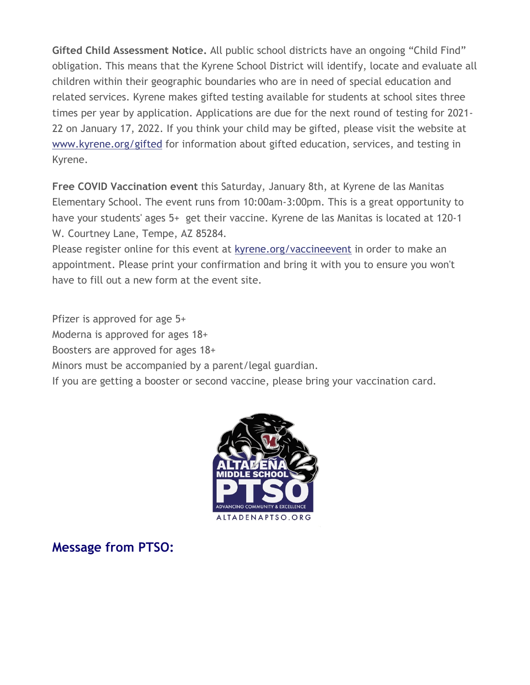**Gifted Child Assessment Notice.** All public school districts have an ongoing "Child Find" obligation. This means that the Kyrene School District will identify, locate and evaluate all children within their geographic boundaries who are in need of special education and related services. Kyrene makes gifted testing available for students at school sites three times per year by application. Applications are due for the next round of testing for 2021- 22 on January 17, 2022. If you think your child may be gifted, please visit the website a[t](http://track.spe.schoolmessenger.com/f/a/XVbsOAvJDNMXjcg-B2RETA%7E%7E/AAAAAQA%7E/RgRjugNTP0QcaHR0cDovL3d3dy5reXJlbmUub3JnL2dpZnRlZFcHc2Nob29sbUIKYdXTz9hh17sZFVIQc3JhdGhAa3lyZW5lLm9yZ1gEAAAAAQ%7E%7E) [www.kyrene.org/gifted](http://track.spe.schoolmessenger.com/f/a/XVbsOAvJDNMXjcg-B2RETA%7E%7E/AAAAAQA%7E/RgRjugNTP0QcaHR0cDovL3d3dy5reXJlbmUub3JnL2dpZnRlZFcHc2Nob29sbUIKYdXTz9hh17sZFVIQc3JhdGhAa3lyZW5lLm9yZ1gEAAAAAQ%7E%7E) for information about gifted education, services, and testing in Kyrene.

**Free COVID Vaccination event** this Saturday, January 8th, at Kyrene de las Manitas Elementary School. The event runs from 10:00am-3:00pm. This is a great opportunity to have your students' ages 5+ get their vaccine. Kyrene de las Manitas is located at 120-1 W. Courtney Lane, Tempe, AZ 85284.

Please register online for this event at [kyrene.org/vaccineevent](http://track.spe.schoolmessenger.com/f/a/IQqdjmc20m7Jy6YAUwZaBQ%7E%7E/AAAAAQA%7E/RgRjugNTP0QjaHR0cHM6Ly93d3cua3lyZW5lLm9yZy92YWNjaW5lZXZlbnRXB3NjaG9vbG1CCmHV08_YYde7GRVSEHNyYXRoQGt5cmVuZS5vcmdYBAAAAAE%7E) in order to make an appointment. Please print your confirmation and bring it with you to ensure you won't have to fill out a new form at the event site.

Pfizer is approved for age 5+ Moderna is approved for ages 18+ Boosters are approved for ages 18+ Minors must be accompanied by a parent/legal guardian. If you are getting a booster or second vaccine, please bring your vaccination card.



**Message from PTSO:**